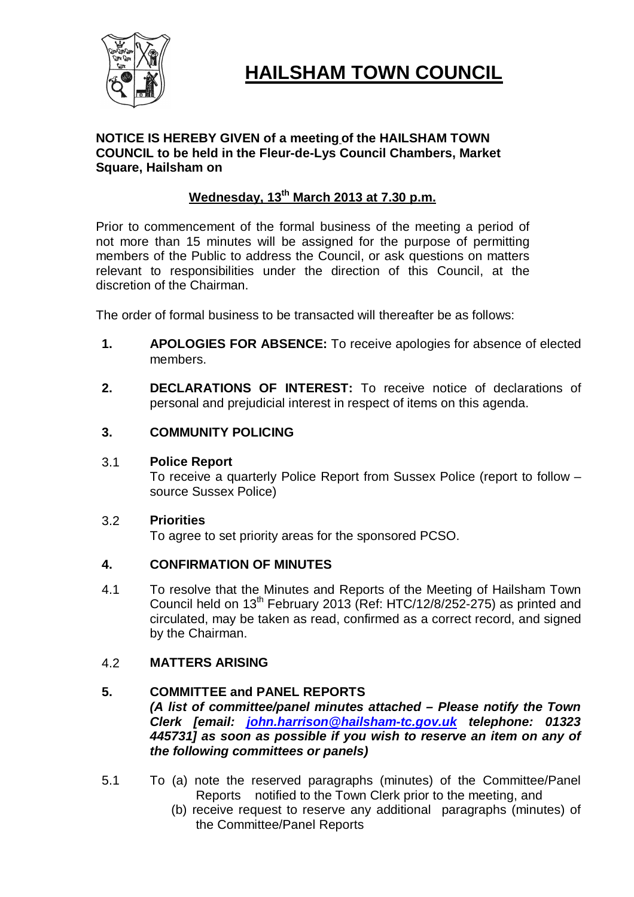

# **HAILSHAM TOWN COUNCIL**

# **NOTICE IS HEREBY GIVEN of a meeting of the HAILSHAM TOWN COUNCIL to be held in the Fleur-de-Lys Council Chambers, Market Square, Hailsham on**

# **Wednesday, 13 th March 2013 at 7.30 p.m.**

Prior to commencement of the formal business of the meeting a period of not more than 15 minutes will be assigned for the purpose of permitting members of the Public to address the Council, or ask questions on matters relevant to responsibilities under the direction of this Council, at the discretion of the Chairman.

The order of formal business to be transacted will thereafter be as follows:

- **1. APOLOGIES FOR ABSENCE:** To receive apologies for absence of elected members.
- **2. DECLARATIONS OF INTEREST:** To receive notice of declarations of personal and prejudicial interest in respect of items on this agenda.
- **3. COMMUNITY POLICING**

# 3.1 **Police Report**

To receive a quarterly Police Report from Sussex Police (report to follow – source Sussex Police)

# 3.2 **Priorities**

To agree to set priority areas for the sponsored PCSO.

# **4. CONFIRMATION OF MINUTES**

4.1 To resolve that the Minutes and Reports of the Meeting of Hailsham Town Council held on  $13<sup>th</sup>$  February 2013 (Ref: HTC/12/8/252-275) as printed and circulated, may be taken as read, confirmed as a correct record, and signed by the Chairman.

# 4.2 **MATTERS ARISING**

# **5. COMMITTEE and PANEL REPORTS**

*(A list of committee/panel minutes attached – Please notify the Town Clerk [email: john.harrison@hailsham-tc.gov.uk telephone: 01323 445731] as soon as possible if you wish to reserve an item on any of the following committees or panels)*

- 5.1 To (a) note the reserved paragraphs (minutes) of the Committee/Panel Reports notified to the Town Clerk prior to the meeting, and
	- (b) receive request to reserve any additional paragraphs (minutes) of the Committee/Panel Reports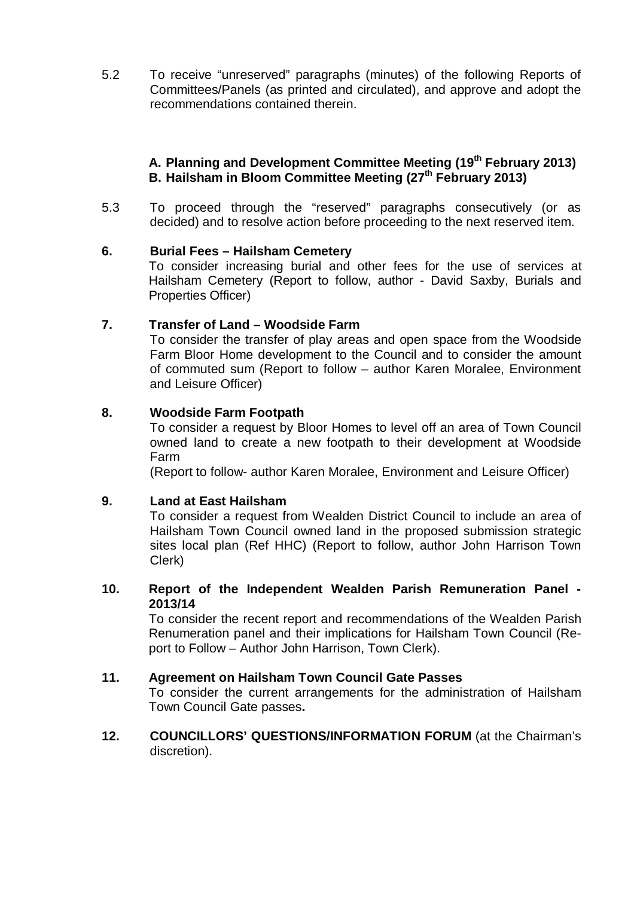5.2 To receive "unreserved" paragraphs (minutes) of the following Reports of Committees/Panels (as printed and circulated), and approve and adopt the recommendations contained therein.

# **A. Planning and Development Committee Meeting (19th February 2013) B. Hailsham in Bloom Committee Meeting (27th February 2013)**

5.3 To proceed through the "reserved" paragraphs consecutively (or as decided) and to resolve action before proceeding to the next reserved item.

# **6. Burial Fees – Hailsham Cemetery**

To consider increasing burial and other fees for the use of services at Hailsham Cemetery (Report to follow, author - David Saxby, Burials and Properties Officer)

# **7. Transfer of Land – Woodside Farm**

To consider the transfer of play areas and open space from the Woodside Farm Bloor Home development to the Council and to consider the amount of commuted sum (Report to follow – author Karen Moralee, Environment and Leisure Officer)

# **8. Woodside Farm Footpath**

To consider a request by Bloor Homes to level off an area of Town Council owned land to create a new footpath to their development at Woodside Farm

(Report to follow- author Karen Moralee, Environment and Leisure Officer)

# **9. Land at East Hailsham**

To consider a request from Wealden District Council to include an area of Hailsham Town Council owned land in the proposed submission strategic sites local plan (Ref HHC) (Report to follow, author John Harrison Town Clerk)

# **10. Report of the Independent Wealden Parish Remuneration Panel - 2013/14**

To consider the recent report and recommendations of the Wealden Parish Renumeration panel and their implications for Hailsham Town Council (Report to Follow – Author John Harrison, Town Clerk).

# **11. Agreement on Hailsham Town Council Gate Passes**

To consider the current arrangements for the administration of Hailsham Town Council Gate passes**.**

**12. COUNCILLORS' QUESTIONS/INFORMATION FORUM** (at the Chairman's discretion).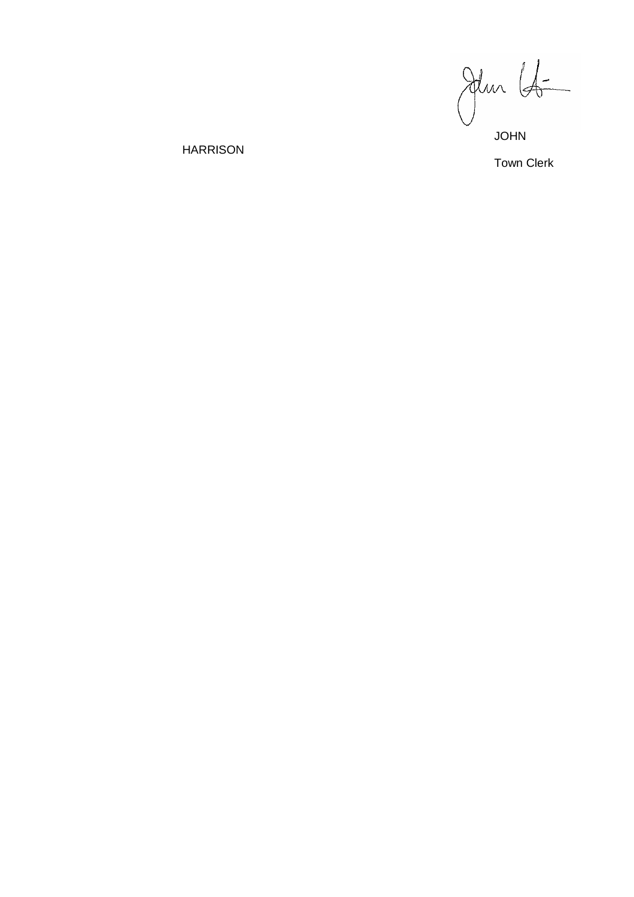JOHN

Town Clerk

HARRISON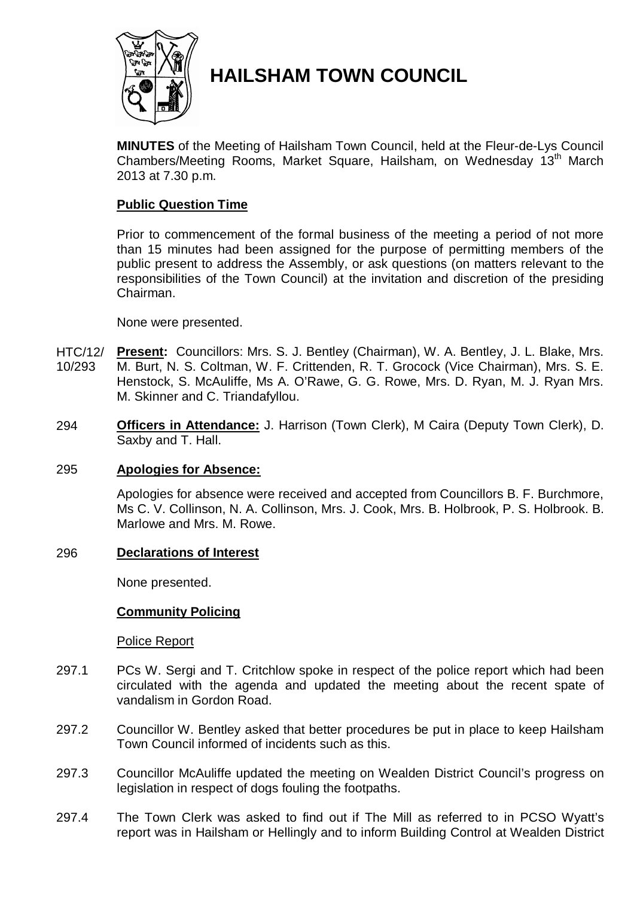

# **HAILSHAM TOWN COUNCIL**

**MINUTES** of the Meeting of Hailsham Town Council, held at the Fleur-de-Lys Council Chambers/Meeting Rooms, Market Square, Hailsham, on Wednesday 13<sup>th</sup> March 2013 at 7.30 p.m.

# **Public Question Time**

Prior to commencement of the formal business of the meeting a period of not more than 15 minutes had been assigned for the purpose of permitting members of the public present to address the Assembly, or ask questions (on matters relevant to the responsibilities of the Town Council) at the invitation and discretion of the presiding Chairman.

None were presented.

- HTC/12/ 10/293 **Present:** Councillors: Mrs. S. J. Bentley (Chairman), W. A. Bentley, J. L. Blake, Mrs. M. Burt, N. S. Coltman, W. F. Crittenden, R. T. Grocock (Vice Chairman), Mrs. S. E. Henstock, S. McAuliffe, Ms A. O'Rawe, G. G. Rowe, Mrs. D. Ryan, M. J. Ryan Mrs. M. Skinner and C. Triandafyllou.
- 294 **Officers in Attendance:** J. Harrison (Town Clerk), M Caira (Deputy Town Clerk), D. Saxby and T. Hall.

# 295 **Apologies for Absence:**

Apologies for absence were received and accepted from Councillors B. F. Burchmore, Ms C. V. Collinson, N. A. Collinson, Mrs. J. Cook, Mrs. B. Holbrook, P. S. Holbrook. B. Marlowe and Mrs. M. Rowe.

### 296 **Declarations of Interest**

None presented.

# **Community Policing**

### Police Report

- 297.1 PCs W. Sergi and T. Critchlow spoke in respect of the police report which had been circulated with the agenda and updated the meeting about the recent spate of vandalism in Gordon Road.
- 297.2 Councillor W. Bentley asked that better procedures be put in place to keep Hailsham Town Council informed of incidents such as this.
- 297.3 Councillor McAuliffe updated the meeting on Wealden District Council's progress on legislation in respect of dogs fouling the footpaths.
- 297.4 The Town Clerk was asked to find out if The Mill as referred to in PCSO Wyatt's report was in Hailsham or Hellingly and to inform Building Control at Wealden District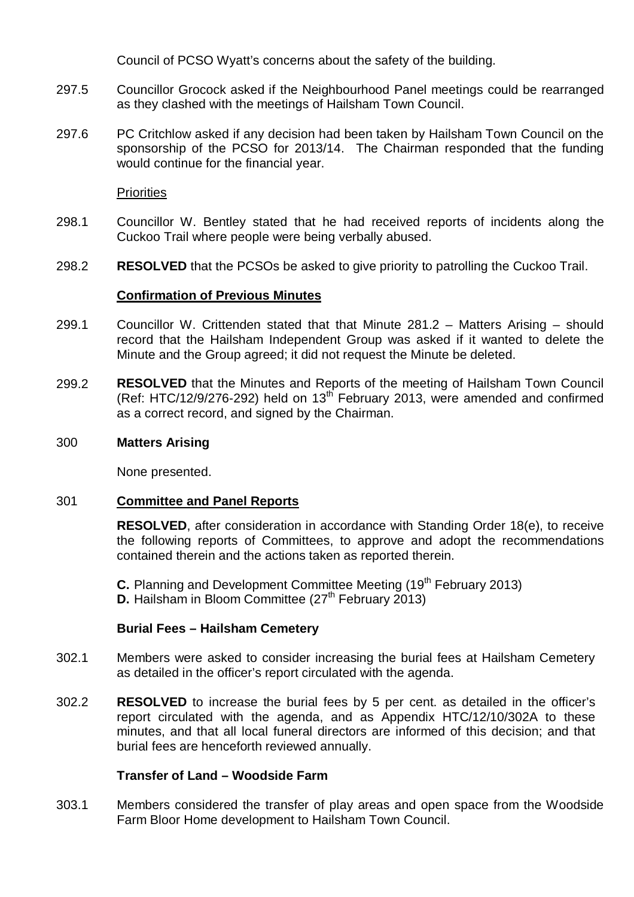Council of PCSO Wyatt's concerns about the safety of the building.

- 297.5 Councillor Grocock asked if the Neighbourhood Panel meetings could be rearranged as they clashed with the meetings of Hailsham Town Council.
- 297.6 PC Critchlow asked if any decision had been taken by Hailsham Town Council on the sponsorship of the PCSO for 2013/14. The Chairman responded that the funding would continue for the financial year.

**Priorities** 

- 298.1 Councillor W. Bentley stated that he had received reports of incidents along the Cuckoo Trail where people were being verbally abused.
- 298.2 **RESOLVED** that the PCSOs be asked to give priority to patrolling the Cuckoo Trail.

# **Confirmation of Previous Minutes**

- 299.1 Councillor W. Crittenden stated that that Minute 281.2 – Matters Arising – should record that the Hailsham Independent Group was asked if it wanted to delete the Minute and the Group agreed; it did not request the Minute be deleted.
- 299.2 **RESOLVED** that the Minutes and Reports of the meeting of Hailsham Town Council (Ref: HTC/12/9/276-292) held on  $13<sup>th</sup>$  February 2013, were amended and confirmed as a correct record, and signed by the Chairman.

## 300 **Matters Arising**

None presented.

# 301 **Committee and Panel Reports**

**RESOLVED**, after consideration in accordance with Standing Order 18(e), to receive the following reports of Committees, to approve and adopt the recommendations contained therein and the actions taken as reported therein.

**C.** Planning and Development Committee Meeting (19<sup>th</sup> February 2013) **D.** Hailsham in Bloom Committee (27<sup>th</sup> February 2013)

# **Burial Fees – Hailsham Cemetery**

- 302.1 Members were asked to consider increasing the burial fees at Hailsham Cemetery as detailed in the officer's report circulated with the agenda.
- 302.2 **RESOLVED** to increase the burial fees by 5 per cent. as detailed in the officer's report circulated with the agenda, and as Appendix HTC/12/10/302A to these minutes, and that all local funeral directors are informed of this decision; and that burial fees are henceforth reviewed annually.

# **Transfer of Land – Woodside Farm**

303.1 Members considered the transfer of play areas and open space from the Woodside Farm Bloor Home development to Hailsham Town Council.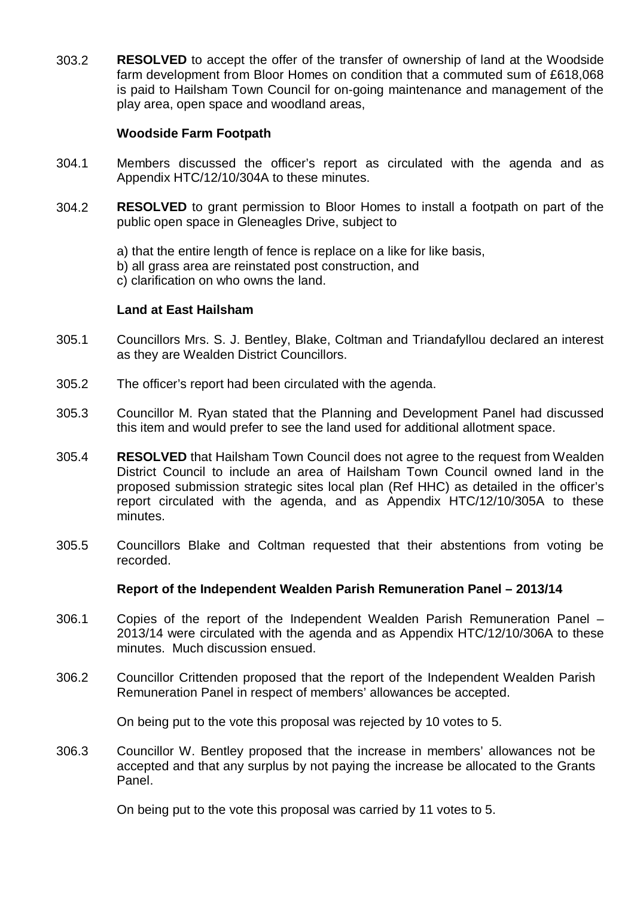303.2 **RESOLVED** to accept the offer of the transfer of ownership of land at the Woodside farm development from Bloor Homes on condition that a commuted sum of £618,068 is paid to Hailsham Town Council for on-going maintenance and management of the play area, open space and woodland areas,

### **Woodside Farm Footpath**

- 304.1 Members discussed the officer's report as circulated with the agenda and as Appendix HTC/12/10/304A to these minutes.
- 304.2 **RESOLVED** to grant permission to Bloor Homes to install a footpath on part of the public open space in Gleneagles Drive, subject to

a) that the entire length of fence is replace on a like for like basis, b) all grass area are reinstated post construction, and c) clarification on who owns the land.

# **Land at East Hailsham**

- 305.1 Councillors Mrs. S. J. Bentley, Blake, Coltman and Triandafyllou declared an interest as they are Wealden District Councillors.
- 305.2 The officer's report had been circulated with the agenda.
- 305.3 Councillor M. Ryan stated that the Planning and Development Panel had discussed this item and would prefer to see the land used for additional allotment space.
- 305.4 **RESOLVED** that Hailsham Town Council does not agree to the request from Wealden District Council to include an area of Hailsham Town Council owned land in the proposed submission strategic sites local plan (Ref HHC) as detailed in the officer's report circulated with the agenda, and as Appendix HTC/12/10/305A to these minutes.
- 305.5 Councillors Blake and Coltman requested that their abstentions from voting be recorded.

### **Report of the Independent Wealden Parish Remuneration Panel – 2013/14**

- 306.1 Copies of the report of the Independent Wealden Parish Remuneration Panel – 2013/14 were circulated with the agenda and as Appendix HTC/12/10/306A to these minutes. Much discussion ensued.
- 306.2 Councillor Crittenden proposed that the report of the Independent Wealden Parish Remuneration Panel in respect of members' allowances be accepted.

On being put to the vote this proposal was rejected by 10 votes to 5.

306.3 Councillor W. Bentley proposed that the increase in members' allowances not be accepted and that any surplus by not paying the increase be allocated to the Grants Panel.

On being put to the vote this proposal was carried by 11 votes to 5.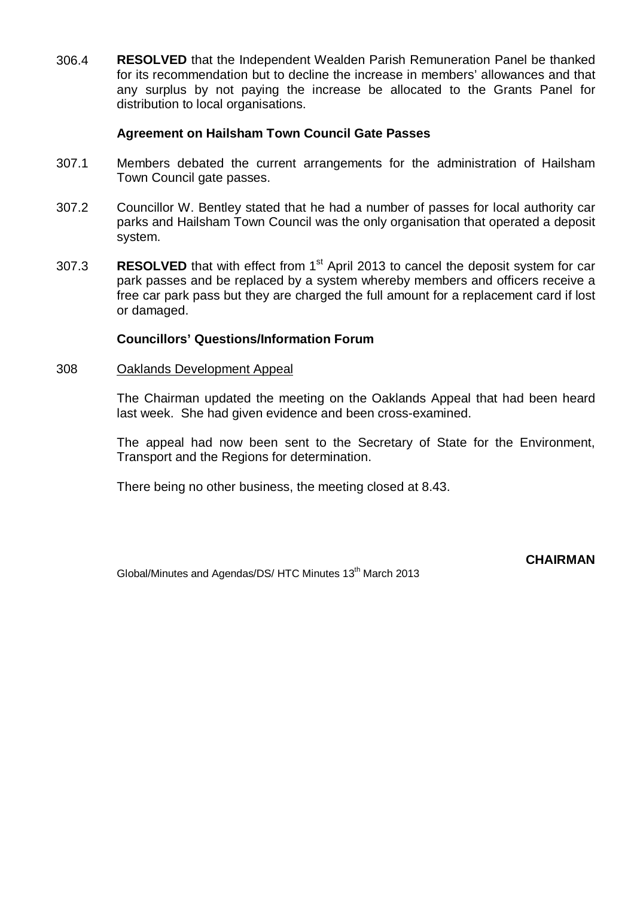306.4 **RESOLVED** that the Independent Wealden Parish Remuneration Panel be thanked for its recommendation but to decline the increase in members' allowances and that any surplus by not paying the increase be allocated to the Grants Panel for distribution to local organisations.

## **Agreement on Hailsham Town Council Gate Passes**

- 307.1 Members debated the current arrangements for the administration of Hailsham Town Council gate passes.
- 307.2 Councillor W. Bentley stated that he had a number of passes for local authority car parks and Hailsham Town Council was the only organisation that operated a deposit system.
- 307.3 **RESOLVED** that with effect from 1<sup>st</sup> April 2013 to cancel the deposit system for car park passes and be replaced by a system whereby members and officers receive a free car park pass but they are charged the full amount for a replacement card if lost or damaged.

### **Councillors' Questions/Information Forum**

#### 308 Oaklands Development Appeal

The Chairman updated the meeting on the Oaklands Appeal that had been heard last week. She had given evidence and been cross-examined.

The appeal had now been sent to the Secretary of State for the Environment, Transport and the Regions for determination.

There being no other business, the meeting closed at 8.43.

Global/Minutes and Agendas/DS/ HTC Minutes 13<sup>th</sup> March 2013

**CHAIRMAN**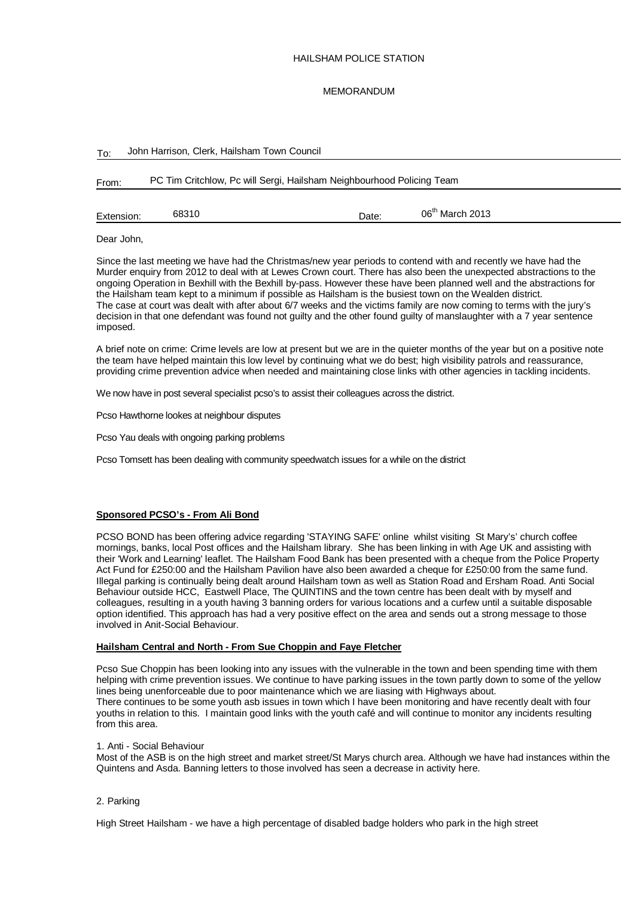#### HAILSHAM POLICE STATION

#### MEMORANDUM

| To:        |                                                                       | John Harrison, Clerk, Hailsham Town Council |       |                             |  |  |  |  |  |  |  |
|------------|-----------------------------------------------------------------------|---------------------------------------------|-------|-----------------------------|--|--|--|--|--|--|--|
| From:      | PC Tim Critchlow, Pc will Sergi, Hailsham Neighbourhood Policing Team |                                             |       |                             |  |  |  |  |  |  |  |
| Extension: | 68310                                                                 |                                             | Date: | 06 <sup>th</sup> March 2013 |  |  |  |  |  |  |  |

Dear John,

Since the last meeting we have had the Christmas/new year periods to contend with and recently we have had the Murder enquiry from 2012 to deal with at Lewes Crown court. There has also been the unexpected abstractions to the ongoing Operation in Bexhill with the Bexhill by-pass. However these have been planned well and the abstractions for the Hailsham team kept to a minimum if possible as Hailsham is the busiest town on the Wealden district. The case at court was dealt with after about 6/7 weeks and the victims family are now coming to terms with the jury's decision in that one defendant was found not guilty and the other found guilty of manslaughter with a 7 year sentence imposed.

A brief note on crime: Crime levels are low at present but we are in the quieter months of the year but on a positive note the team have helped maintain this low level by continuing what we do best; high visibility patrols and reassurance, providing crime prevention advice when needed and maintaining close links with other agencies in tackling incidents.

We now have in post several specialist pcso's to assist their colleagues across the district.

Pcso Hawthorne lookes at neighbour disputes

Pcso Yau deals with ongoing parking problems

Pcso Tomsett has been dealing with community speedwatch issues for a while on the district

#### **Sponsored PCSO's - From Ali Bond**

PCSO BOND has been offering advice regarding 'STAYING SAFE' online whilst visiting St Mary's' church coffee mornings, banks, local Post offices and the Hailsham library. She has been linking in with Age UK and assisting with their 'Work and Learning' leaflet. The Hailsham Food Bank has been presented with a cheque from the Police Property Act Fund for £250:00 and the Hailsham Pavilion have also been awarded a cheque for £250:00 from the same fund. Illegal parking is continually being dealt around Hailsham town as well as Station Road and Ersham Road. Anti Social Behaviour outside HCC, Eastwell Place, The QUINTINS and the town centre has been dealt with by myself and colleagues, resulting in a youth having 3 banning orders for various locations and a curfew until a suitable disposable option identified. This approach has had a very positive effect on the area and sends out a strong message to those involved in Anit-Social Behaviour.

#### **Hailsham Central and North - From Sue Choppin and Faye Fletcher**

Pcso Sue Choppin has been looking into any issues with the vulnerable in the town and been spending time with them helping with crime prevention issues. We continue to have parking issues in the town partly down to some of the yellow lines being unenforceable due to poor maintenance which we are liasing with Highways about. There continues to be some youth asb issues in town which I have been monitoring and have recently dealt with four youths in relation to this. I maintain good links with the youth café and will continue to monitor any incidents resulting from this area.

#### 1. Anti - Social Behaviour

Most of the ASB is on the high street and market street/St Marys church area. Although we have had instances within the Quintens and Asda. Banning letters to those involved has seen a decrease in activity here.

#### 2. Parking

High Street Hailsham - we have a high percentage of disabled badge holders who park in the high street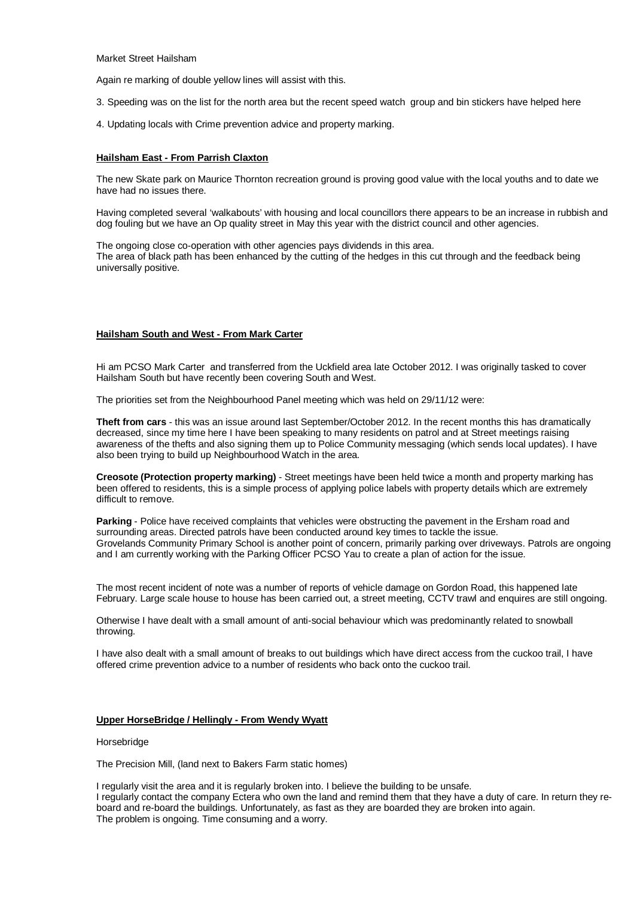Market Street Hailsham

Again re marking of double yellow lines will assist with this.

- 3. Speeding was on the list for the north area but the recent speed watch group and bin stickers have helped here
- 4. Updating locals with Crime prevention advice and property marking.

#### **Hailsham East - From Parrish Claxton**

The new Skate park on Maurice Thornton recreation ground is proving good value with the local youths and to date we have had no issues there.

Having completed several 'walkabouts' with housing and local councillors there appears to be an increase in rubbish and dog fouling but we have an Op quality street in May this year with the district council and other agencies.

The ongoing close co-operation with other agencies pays dividends in this area. The area of black path has been enhanced by the cutting of the hedges in this cut through and the feedback being universally positive.

#### **Hailsham South and West - From Mark Carter**

Hi am PCSO Mark Carter and transferred from the Uckfield area late October 2012. I was originally tasked to cover Hailsham South but have recently been covering South and West.

The priorities set from the Neighbourhood Panel meeting which was held on 29/11/12 were:

**Theft from cars** - this was an issue around last September/October 2012. In the recent months this has dramatically decreased, since my time here I have been speaking to many residents on patrol and at Street meetings raising awareness of the thefts and also signing them up to Police Community messaging (which sends local updates). I have also been trying to build up Neighbourhood Watch in the area.

**Creosote (Protection property marking)** - Street meetings have been held twice a month and property marking has been offered to residents, this is a simple process of applying police labels with property details which are extremely difficult to remove.

**Parking** - Police have received complaints that vehicles were obstructing the pavement in the Ersham road and surrounding areas. Directed patrols have been conducted around key times to tackle the issue. Grovelands Community Primary School is another point of concern, primarily parking over driveways. Patrols are ongoing and I am currently working with the Parking Officer PCSO Yau to create a plan of action for the issue.

The most recent incident of note was a number of reports of vehicle damage on Gordon Road, this happened late February. Large scale house to house has been carried out, a street meeting, CCTV trawl and enquires are still ongoing.

Otherwise I have dealt with a small amount of anti-social behaviour which was predominantly related to snowball throwing.

I have also dealt with a small amount of breaks to out buildings which have direct access from the cuckoo trail, I have offered crime prevention advice to a number of residents who back onto the cuckoo trail.

#### **Upper HorseBridge / Hellingly - From Wendy Wyatt**

#### Horsebridge

The Precision Mill, (land next to Bakers Farm static homes)

I regularly visit the area and it is regularly broken into. I believe the building to be unsafe.

I regularly contact the company Ectera who own the land and remind them that they have a duty of care. In return they reboard and re-board the buildings. Unfortunately, as fast as they are boarded they are broken into again. The problem is ongoing. Time consuming and a worry.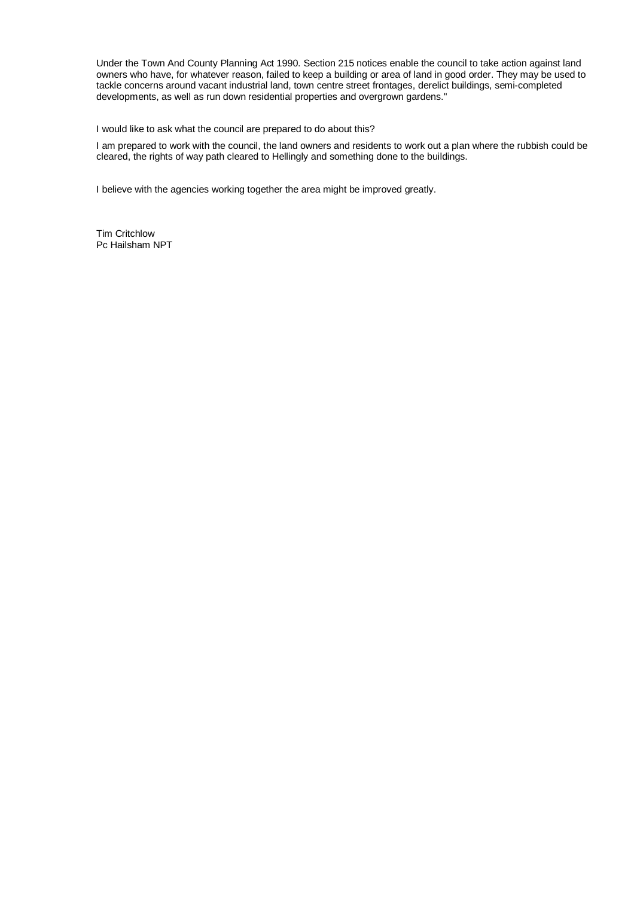Under the Town And County Planning Act 1990. Section 215 notices enable the council to take action against land owners who have, for whatever reason, failed to keep a building or area of land in good order. They may be used to tackle concerns around vacant industrial land, town centre street frontages, derelict buildings, semi-completed developments, as well as run down residential properties and overgrown gardens."

I would like to ask what the council are prepared to do about this?

I am prepared to work with the council, the land owners and residents to work out a plan where the rubbish could be cleared, the rights of way path cleared to Hellingly and something done to the buildings.

I believe with the agencies working together the area might be improved greatly.

Tim Critchlow Pc Hailsham NPT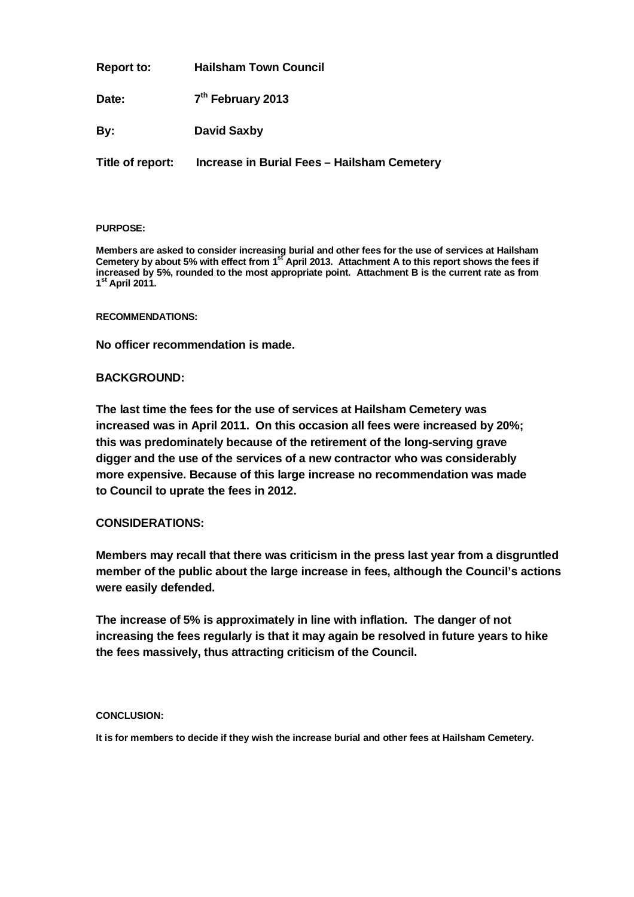**Report to: Hailsham Town Council**

Date: **th February 2013**

**By: David Saxby**

**Title of report: Increase in Burial Fees – Hailsham Cemetery**

#### **PURPOSE:**

**Members are asked to consider increasing burial and other fees for the use of services at Hailsham**  Cemetery by about 5% with effect from 1<sup>st</sup> April 2013. Attachment A to this report shows the fees if **increased by 5%, rounded to the most appropriate point. Attachment B is the current rate as from 1 st April 2011.**

**RECOMMENDATIONS:**

**No officer recommendation is made.**

### **BACKGROUND:**

**The last time the fees for the use of services at Hailsham Cemetery was increased was in April 2011. On this occasion all fees were increased by 20%; this was predominately because of the retirement of the long-serving grave digger and the use of the services of a new contractor who was considerably more expensive. Because of this large increase no recommendation was made to Council to uprate the fees in 2012.**

### **CONSIDERATIONS:**

**Members may recall that there was criticism in the press last year from a disgruntled member of the public about the large increase in fees, although the Council's actions were easily defended.**

**The increase of 5% is approximately in line with inflation. The danger of not increasing the fees regularly is that it may again be resolved in future years to hike the fees massively, thus attracting criticism of the Council.**

### **CONCLUSION:**

**It is for members to decide if they wish the increase burial and other fees at Hailsham Cemetery.**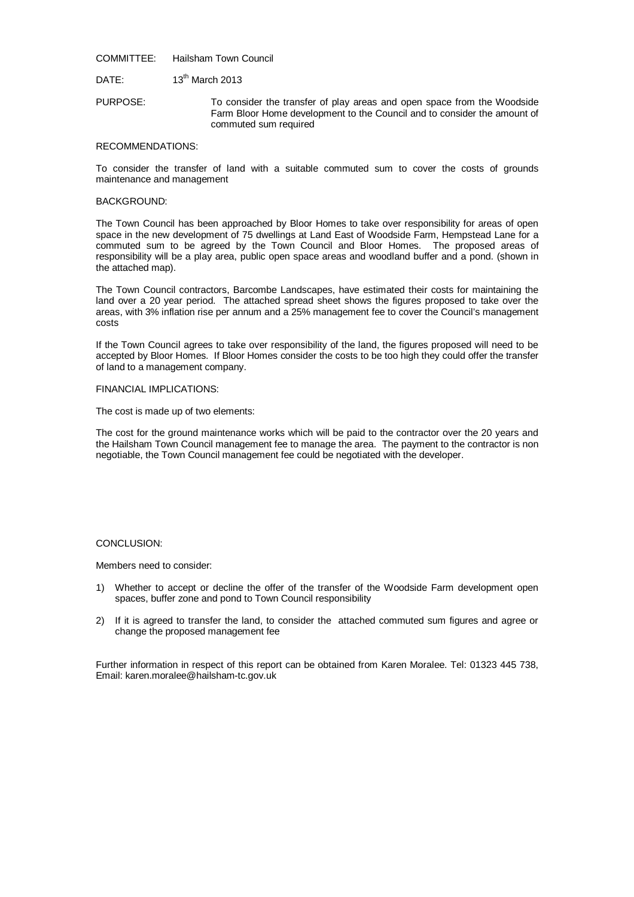COMMITTEE: Hailsham Town Council

DATE: 13<sup>th</sup> March 2013

PURPOSE: To consider the transfer of play areas and open space from the Woodside Farm Bloor Home development to the Council and to consider the amount of commuted sum required

#### RECOMMENDATIONS:

To consider the transfer of land with a suitable commuted sum to cover the costs of grounds maintenance and management

#### BACKGROUND:

The Town Council has been approached by Bloor Homes to take over responsibility for areas of open space in the new development of 75 dwellings at Land East of Woodside Farm, Hempstead Lane for a commuted sum to be agreed by the Town Council and Bloor Homes. The proposed areas of responsibility will be a play area, public open space areas and woodland buffer and a pond. (shown in the attached map).

The Town Council contractors, Barcombe Landscapes, have estimated their costs for maintaining the land over a 20 year period. The attached spread sheet shows the figures proposed to take over the areas, with 3% inflation rise per annum and a 25% management fee to cover the Council's management costs

If the Town Council agrees to take over responsibility of the land, the figures proposed will need to be accepted by Bloor Homes. If Bloor Homes consider the costs to be too high they could offer the transfer of land to a management company.

#### FINANCIAL IMPLICATIONS:

The cost is made up of two elements:

The cost for the ground maintenance works which will be paid to the contractor over the 20 years and the Hailsham Town Council management fee to manage the area. The payment to the contractor is non negotiable, the Town Council management fee could be negotiated with the developer.

#### CONCLUSION:

Members need to consider:

- 1) Whether to accept or decline the offer of the transfer of the Woodside Farm development open spaces, buffer zone and pond to Town Council responsibility
- 2) If it is agreed to transfer the land, to consider the attached commuted sum figures and agree or change the proposed management fee

Further information in respect of this report can be obtained from Karen Moralee. Tel: 01323 445 738, Email: karen.moralee@hailsham-tc.gov.uk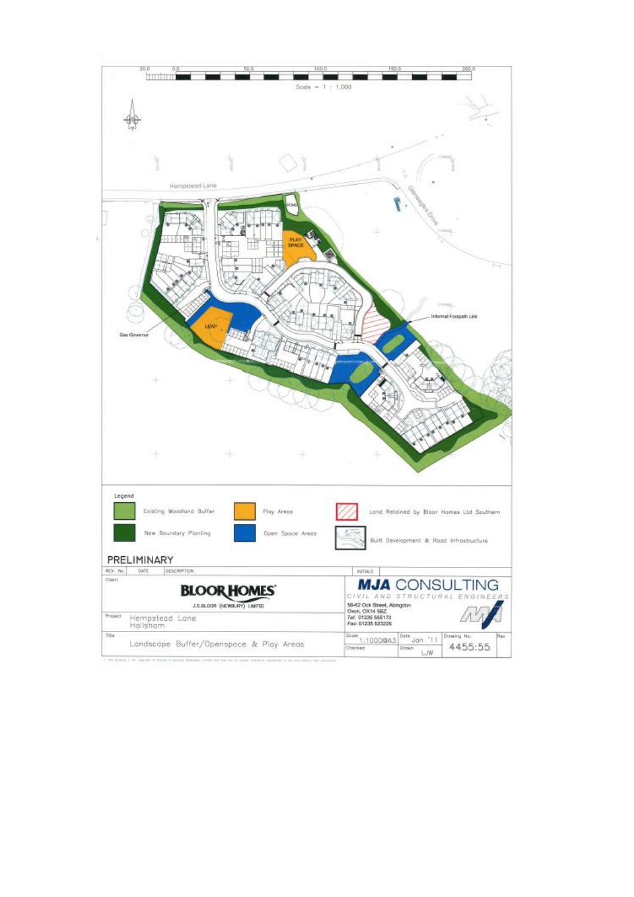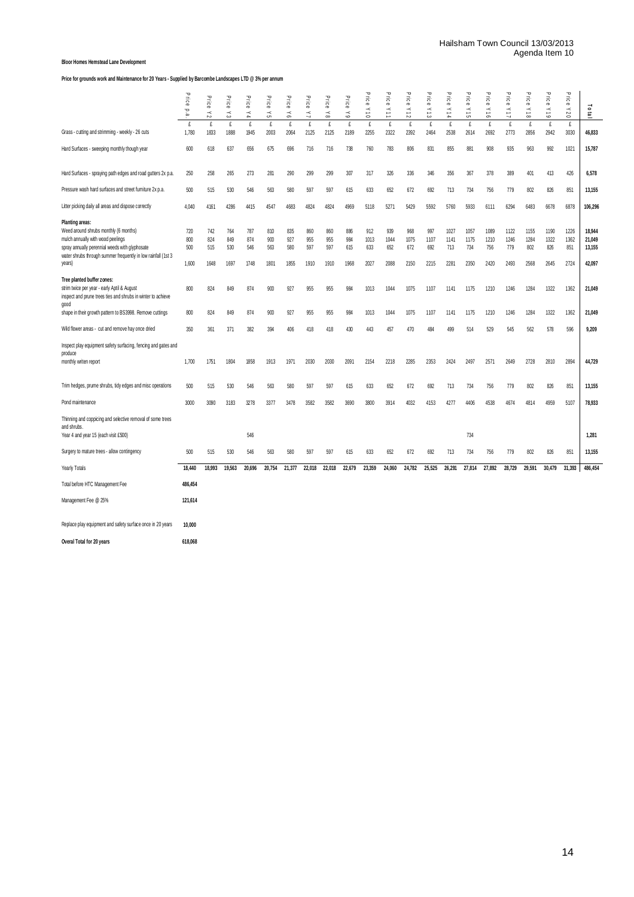#### **Bloor Homes Hemstead Lane Development**

**Price for grounds work and Maintenance for 20 Years - Supplied by Barcombe Landscapes LTD @ 3% per annum**

|                                                                                                                                                                                                                            | Price<br>Ð<br>$\mathbf{\dot{\omega}}$ | Price<br>$\stackrel{<}{\scriptstyle\sim}$ | Price<br>చ                | Price<br>$\geq 4$         | Price<br>$\stackrel{\textstyle _<}{\scriptstyle_{\sim}}$ | Price<br>$\stackrel{\textstyle{<}}{\scriptstyle{\circ}}$ | Price<br>$\preceq$        | Price<br>$\stackrel{\textstyle _<}{\textstyle _\sim}$ | Price<br>$\lesssim$       | ᠊ᠣ<br>ilce<br>e<br>$\geq$  | $\mathbf{\overline{v}}$<br>Ξ<br>$\frac{1}{2}$ | $\mathbf{\overline{v}}$<br>ice<br>e<br>$\times$ 12 | ᠊ᠣ<br>ΠC θ<br>$\times$ 13  | ᠊ᠣ<br>iιce<br>$\times 14$   | ᠊ᠣ<br>Ξi<br>$\frac{1}{2}$   | ᠊ᠣ<br>ΗG θ<br>$\frac{1}{2}$ | $\mathbf{\overline{v}}$<br>ΠC θ<br>$11\lambda$ | ᠊ᠣ<br>Ξ.<br>$\frac{1}{8}$   | ᠊ᠣ<br>ice<br>$61\,\mathrm{\AA}$ | $\mathbf \sigma$<br>Lice<br>Y20 | $\frac{10}{10}$                      |
|----------------------------------------------------------------------------------------------------------------------------------------------------------------------------------------------------------------------------|---------------------------------------|-------------------------------------------|---------------------------|---------------------------|----------------------------------------------------------|----------------------------------------------------------|---------------------------|-------------------------------------------------------|---------------------------|----------------------------|-----------------------------------------------|----------------------------------------------------|----------------------------|-----------------------------|-----------------------------|-----------------------------|------------------------------------------------|-----------------------------|---------------------------------|---------------------------------|--------------------------------------|
| Grass - cutting and strimming - weekly - 26 cuts                                                                                                                                                                           | £<br>1,780                            | £<br>1833                                 | £<br>1888                 | £<br>1945                 | £<br>2003                                                | £<br>2064                                                | £<br>2125                 | £<br>2125                                             | £<br>2189                 | £<br>2255                  | £<br>2322                                     | $\mathbf f$<br>2392                                | £<br>2464                  | £<br>2538                   | £<br>2614                   | £<br>2692                   | £<br>2773                                      | £<br>2856                   | £<br>2942                       | £<br>3030                       | 46,833                               |
| Hard Surfaces - sweeping monthly though year                                                                                                                                                                               | 600                                   | 618                                       | 637                       | 656                       | 675                                                      | 696                                                      | 716                       | 716                                                   | 738                       | 760                        | 783                                           | 806                                                | 831                        | 855                         | 881                         | 908                         | 935                                            | 963                         | 992                             | 1021                            | 15,787                               |
| Hard Surfaces - spraying path edges and road gutters 2x p.a.                                                                                                                                                               | 250                                   | 258                                       | 265                       | 273                       | 281                                                      | 290                                                      | 299                       | 299                                                   | 307                       | 317                        | 326                                           | 336                                                | 346                        | 356                         | 367                         | 378                         | 389                                            | 401                         | 413                             | 426                             | 6,578                                |
| Pressure wash hard surfaces and street furniture 2x p.a.                                                                                                                                                                   | 500                                   | 515                                       | 530                       | 546                       | 563                                                      | 580                                                      | 597                       | 597                                                   | 615                       | 633                        | 652                                           | 672                                                | 692                        | 713                         | 734                         | 756                         | 779                                            | 802                         | 826                             | 851                             | 13,155                               |
| Litter picking daily all areas and dispose correctly                                                                                                                                                                       | 4.040                                 | 4161                                      | 4286                      | 4415                      | 4547                                                     | 4683                                                     | 4824                      | 4824                                                  | 4969                      | 5118                       | 5271                                          | 5429                                               | 5592                       | 5760                        | 5933                        | 6111                        | 6294                                           | 6483                        | 6678                            | 6878                            | 106,296                              |
| Planting areas:<br>Weed around shrubs monthly (6 months)<br>mulch annually with wood peelings<br>spray annually perennial weeds with glyphosate<br>water shrubs through summer frequently in low rainfall (1st 3<br>years) | 720<br>800<br>500<br>1,600            | 742<br>824<br>515<br>1648                 | 764<br>849<br>530<br>1697 | 787<br>874<br>546<br>1748 | 810<br>900<br>563<br>1801                                | 835<br>927<br>580<br>1855                                | 860<br>955<br>597<br>1910 | 860<br>955<br>597<br>1910                             | 886<br>984<br>615<br>1968 | 912<br>1013<br>633<br>2027 | 939<br>1044<br>652<br>2088                    | 968<br>1075<br>672<br>2150                         | 997<br>1107<br>692<br>2215 | 1027<br>1141<br>713<br>2281 | 1057<br>1175<br>734<br>2350 | 1089<br>1210<br>756<br>2420 | 1122<br>1246<br>779<br>2493                    | 1155<br>1284<br>802<br>2568 | 1190<br>1322<br>826<br>2645     | 1226<br>1362<br>851<br>2724     | 18,944<br>21,049<br>13,155<br>42,097 |
| Tree planted buffer zones:<br>strim twice per year - early Aptil & August<br>inspect and prune trees ties and shrubs in winter to achieve<br>good                                                                          | 800                                   | 824                                       | 849                       | 874                       | 900                                                      | 927                                                      | 955                       | 955                                                   | 984                       | 1013                       | 1044                                          | 1075                                               | 1107                       | 1141                        | 1175                        | 1210                        | 1246                                           | 1284                        | 1322                            | 1362                            | 21,049                               |
| shape in their growth pattern to BS3998. Remove cuttings                                                                                                                                                                   | 800                                   | 824                                       | 849                       | 874                       | 900                                                      | 927                                                      | 955                       | 955                                                   | 984                       | 1013                       | 1044                                          | 1075                                               | 1107                       | 1141                        | 1175                        | 1210                        | 1246                                           | 1284                        | 1322                            | 1362                            | 21,049                               |
| Wild flower areas - cut and remove hay once dried                                                                                                                                                                          | 350                                   | 361                                       | 371                       | 382                       | 394                                                      | 406                                                      | 418                       | 418                                                   | 430                       | 443                        | 457                                           | 470                                                | 484                        | 499                         | 514                         | 529                         | 545                                            | 562                         | 578                             | 596                             | 9,209                                |
| Inspect play equipment safety surfacing, fencing and gates and<br>produce<br>monthly writen report                                                                                                                         | 1,700                                 | 1751                                      | 1804                      | 1858                      | 1913                                                     | 1971                                                     | 2030                      | 2030                                                  | 2091                      | 2154                       | 2218                                          | 2285                                               | 2353                       | 2424                        | 2497                        | 2571                        | 2649                                           | 2728                        | 2810                            | 2894                            | 44,729                               |
| Trim hedges, prume shrubs, tidy edges and misc operations                                                                                                                                                                  | 500                                   | 515                                       | 530                       | 546                       | 563                                                      | 580                                                      | 597                       | 597                                                   | 615                       | 633                        | 652                                           | 672                                                | 692                        | 713                         | 734                         | 756                         | 779                                            | 802                         | 826                             | 851                             | 13,155                               |
| Pond maintenance                                                                                                                                                                                                           | 3000                                  | 3090                                      | 3183                      | 3278                      | 3377                                                     | 3478                                                     | 3582                      | 3582                                                  | 3690                      | 3800                       | 3914                                          | 4032                                               | 4153                       | 4277                        | 4406                        | 4538                        | 4674                                           | 4814                        | 4959                            | 5107                            | 78,933                               |
| Thinning and coppicing and selective removal of some trees<br>and shrubs.<br>Year 4 and year 15 (each visit £500)                                                                                                          |                                       |                                           |                           | 546                       |                                                          |                                                          |                           |                                                       |                           |                            |                                               |                                                    |                            |                             | 734                         |                             |                                                |                             |                                 |                                 | 1,281                                |
| Surgery to mature trees - allow contingency                                                                                                                                                                                | 500                                   | 515                                       | 530                       | 546                       | 563                                                      | 580                                                      | 597                       | 597                                                   | 615                       | 633                        | 652                                           | 672                                                | 692                        | 713                         | 734                         | 756                         | 779                                            | 802                         | 826                             | 851                             | 13,155                               |
| Yearly Totals                                                                                                                                                                                                              | 18,440                                | 18.993                                    | 19,563                    | 20,696                    | 20,754                                                   | 21,377                                                   | 22,018                    | 22,018                                                | 22,679                    | 23,359                     | 24,060                                        | 24,782                                             | 25,525                     | 26,291                      | 27,814                      | 27,892                      | 28,729                                         | 29,591                      | 30,479                          | 31,393                          | 486,454                              |
| Total before HTC Management Fee                                                                                                                                                                                            | 486,454                               |                                           |                           |                           |                                                          |                                                          |                           |                                                       |                           |                            |                                               |                                                    |                            |                             |                             |                             |                                                |                             |                                 |                                 |                                      |
| Management Fee @ 25%                                                                                                                                                                                                       | 121.614                               |                                           |                           |                           |                                                          |                                                          |                           |                                                       |                           |                            |                                               |                                                    |                            |                             |                             |                             |                                                |                             |                                 |                                 |                                      |
| Replace play equipment and safety surface once in 20 years<br>Overal Total for 20 years                                                                                                                                    | 10.000<br>618,068                     |                                           |                           |                           |                                                          |                                                          |                           |                                                       |                           |                            |                                               |                                                    |                            |                             |                             |                             |                                                |                             |                                 |                                 |                                      |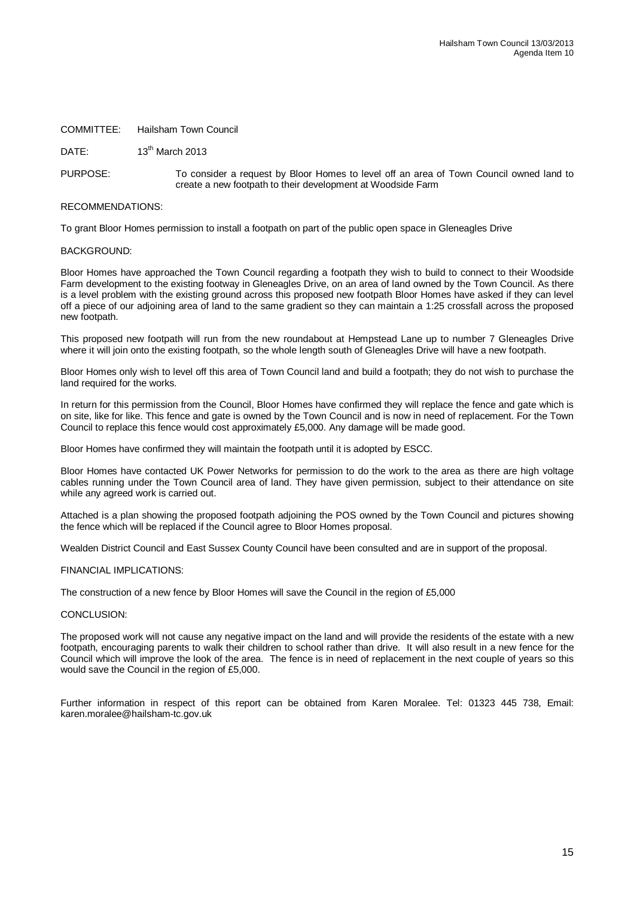#### COMMITTEE: Hailsham Town Council

DATE:  $13^{th}$  March 2013

PURPOSE: To consider a request by Bloor Homes to level off an area of Town Council owned land to create a new footpath to their development at Woodside Farm

#### RECOMMENDATIONS:

To grant Bloor Homes permission to install a footpath on part of the public open space in Gleneagles Drive

#### BACKGROUND:

Bloor Homes have approached the Town Council regarding a footpath they wish to build to connect to their Woodside Farm development to the existing footway in Gleneagles Drive, on an area of land owned by the Town Council. As there is a level problem with the existing ground across this proposed new footpath Bloor Homes have asked if they can level off a piece of our adjoining area of land to the same gradient so they can maintain a 1:25 crossfall across the proposed new footpath.

This proposed new footpath will run from the new roundabout at Hempstead Lane up to number 7 Gleneagles Drive where it will join onto the existing footpath, so the whole length south of Gleneagles Drive will have a new footpath.

Bloor Homes only wish to level off this area of Town Council land and build a footpath; they do not wish to purchase the land required for the works.

In return for this permission from the Council, Bloor Homes have confirmed they will replace the fence and gate which is on site, like for like. This fence and gate is owned by the Town Council and is now in need of replacement. For the Town Council to replace this fence would cost approximately £5,000. Any damage will be made good.

Bloor Homes have confirmed they will maintain the footpath until it is adopted by ESCC.

Bloor Homes have contacted UK Power Networks for permission to do the work to the area as there are high voltage cables running under the Town Council area of land. They have given permission, subject to their attendance on site while any agreed work is carried out.

Attached is a plan showing the proposed footpath adjoining the POS owned by the Town Council and pictures showing the fence which will be replaced if the Council agree to Bloor Homes proposal.

Wealden District Council and East Sussex County Council have been consulted and are in support of the proposal.

#### FINANCIAL IMPLICATIONS:

The construction of a new fence by Bloor Homes will save the Council in the region of £5,000

#### CONCLUSION:

The proposed work will not cause any negative impact on the land and will provide the residents of the estate with a new footpath, encouraging parents to walk their children to school rather than drive. It will also result in a new fence for the Council which will improve the look of the area. The fence is in need of replacement in the next couple of years so this would save the Council in the region of £5,000.

Further information in respect of this report can be obtained from Karen Moralee. Tel: 01323 445 738, Email: karen.moralee@hailsham-tc.gov.uk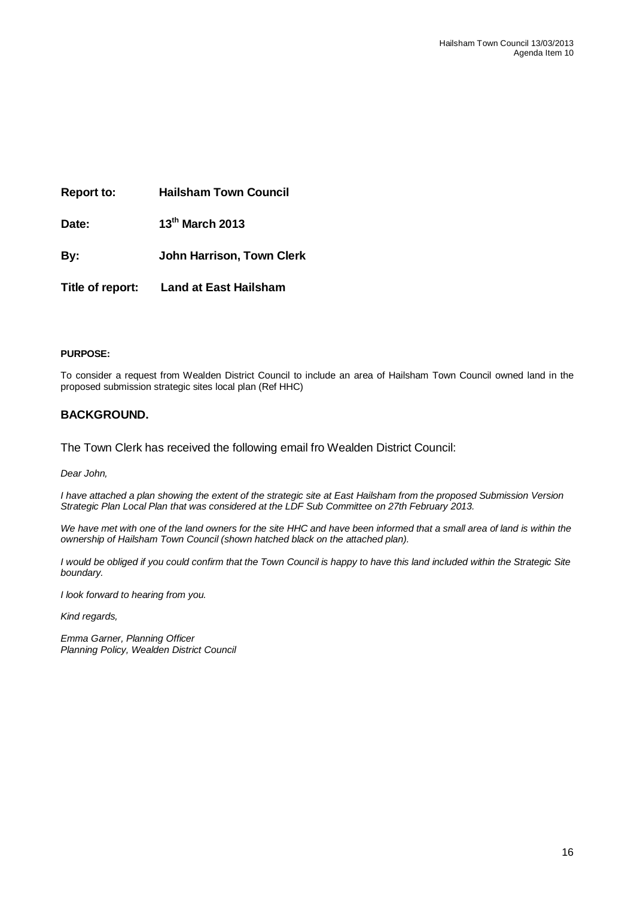**Report to: Hailsham Town Council**

**Date: 13th March 2013**

**By: John Harrison, Town Clerk**

**Title of report: Land at East Hailsham**

#### **PURPOSE:**

To consider a request from Wealden District Council to include an area of Hailsham Town Council owned land in the proposed submission strategic sites local plan (Ref HHC)

### **BACKGROUND.**

The Town Clerk has received the following email fro Wealden District Council:

*Dear John,*

*I have attached a plan showing the extent of the strategic site at East Hailsham from the proposed Submission Version Strategic Plan Local Plan that was considered at the LDF Sub Committee on 27th February 2013.*

We have met with one of the land owners for the site HHC and have been informed that a small area of land is within the *ownership of Hailsham Town Council (shown hatched black on the attached plan).* 

*I would be obliged if you could confirm that the Town Council is happy to have this land included within the Strategic Site boundary.*

*I look forward to hearing from you.*

*Kind regards,*

*Emma Garner, Planning Officer Planning Policy, Wealden District Council*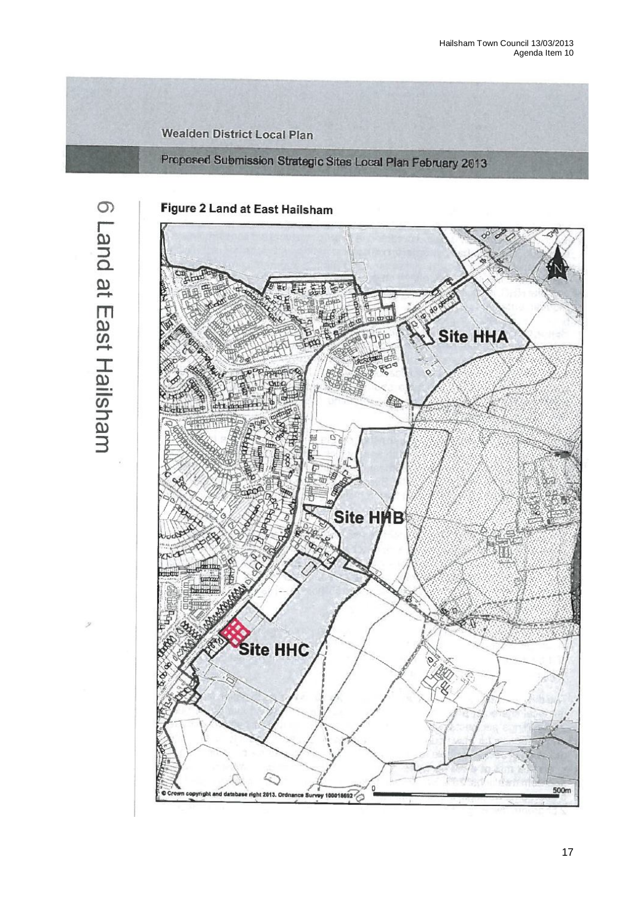**Wealden District Local Plan** 

Proposed Submission Strategic Sites Local Plan February 2013

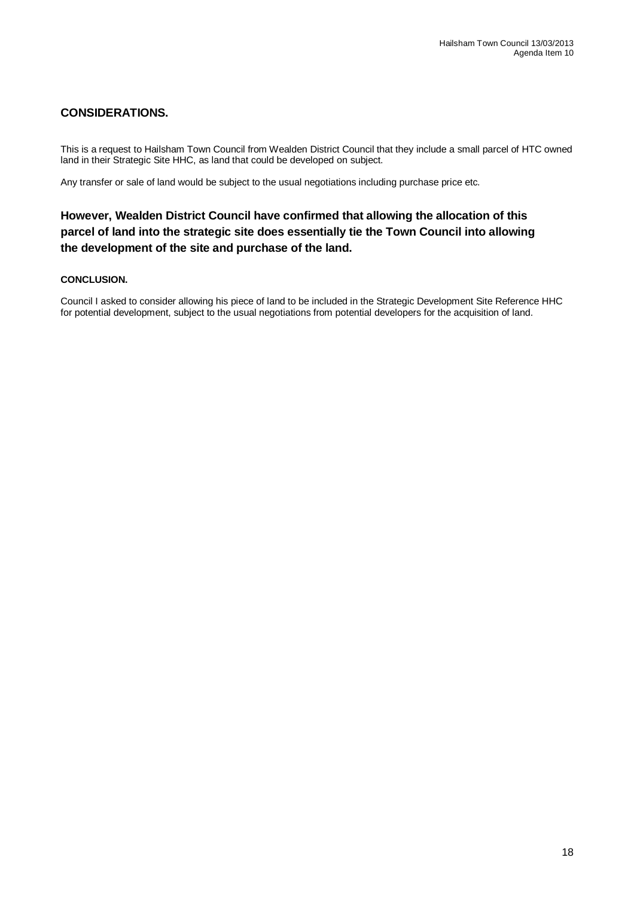# **CONSIDERATIONS.**

This is a request to Hailsham Town Council from Wealden District Council that they include a small parcel of HTC owned land in their Strategic Site HHC, as land that could be developed on subject.

Any transfer or sale of land would be subject to the usual negotiations including purchase price etc.

# **However, Wealden District Council have confirmed that allowing the allocation of this parcel of land into the strategic site does essentially tie the Town Council into allowing the development of the site and purchase of the land.**

### **CONCLUSION.**

Council I asked to consider allowing his piece of land to be included in the Strategic Development Site Reference HHC for potential development, subject to the usual negotiations from potential developers for the acquisition of land.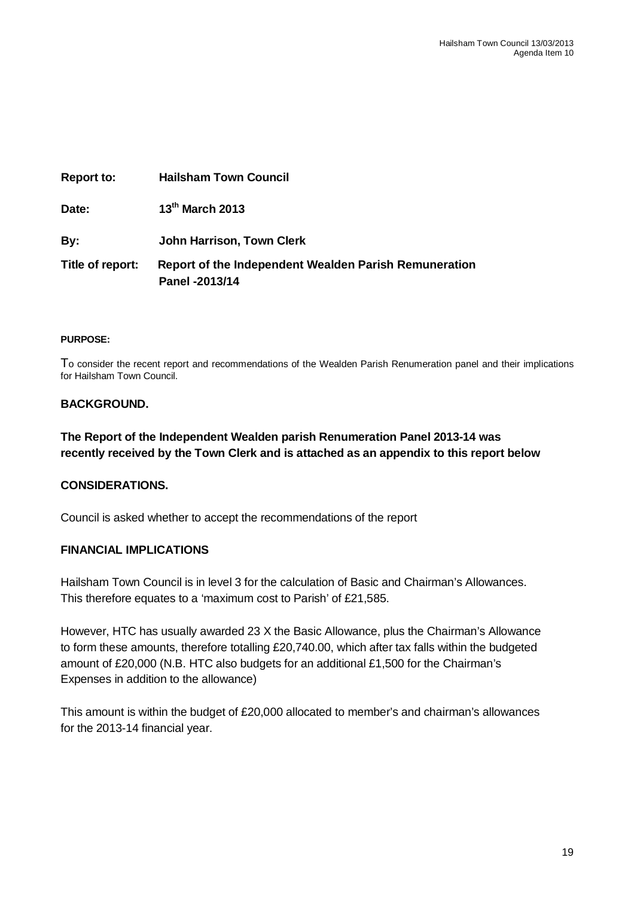| <b>Report to:</b> | <b>Hailsham Town Council</b>                                            |
|-------------------|-------------------------------------------------------------------------|
| Date:             | 13 <sup>th</sup> March 2013                                             |
| By:               | John Harrison, Town Clerk                                               |
| Title of report:  | Report of the Independent Wealden Parish Remuneration<br>Panel -2013/14 |

### **PURPOSE:**

To consider the recent report and recommendations of the Wealden Parish Renumeration panel and their implications for Hailsham Town Council.

### **BACKGROUND.**

**The Report of the Independent Wealden parish Renumeration Panel 2013-14 was recently received by the Town Clerk and is attached as an appendix to this report below**

### **CONSIDERATIONS.**

Council is asked whether to accept the recommendations of the report

### **FINANCIAL IMPLICATIONS**

Hailsham Town Council is in level 3 for the calculation of Basic and Chairman's Allowances. This therefore equates to a 'maximum cost to Parish' of £21,585.

However, HTC has usually awarded 23 X the Basic Allowance, plus the Chairman's Allowance to form these amounts, therefore totalling £20,740.00, which after tax falls within the budgeted amount of £20,000 (N.B. HTC also budgets for an additional £1,500 for the Chairman's Expenses in addition to the allowance)

This amount is within the budget of £20,000 allocated to member's and chairman's allowances for the 2013-14 financial year.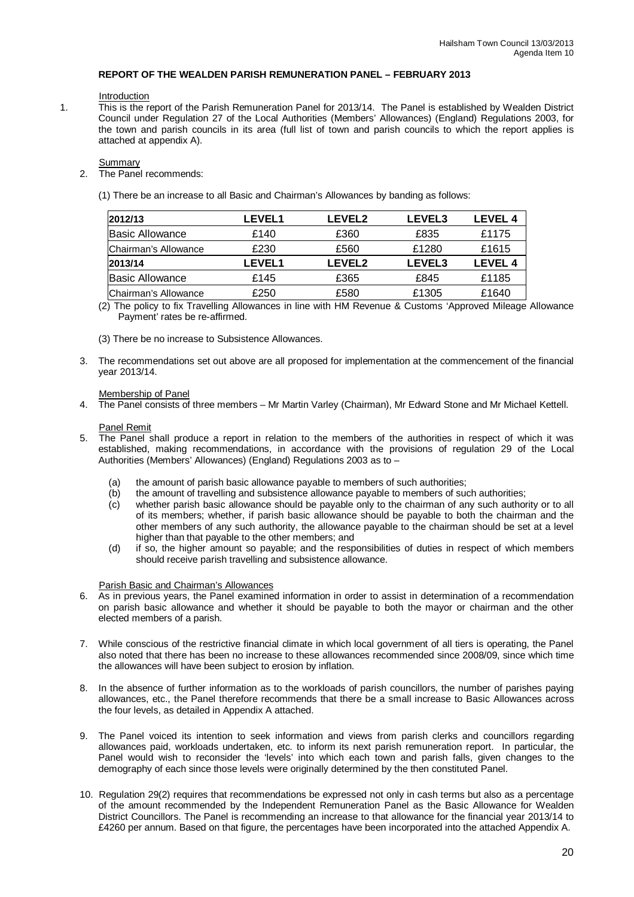#### **REPORT OF THE WEALDEN PARISH REMUNERATION PANEL – FEBRUARY 2013**

#### Introduction

1. This is the report of the Parish Remuneration Panel for 2013/14. The Panel is established by Wealden District Council under Regulation 27 of the Local Authorities (Members' Allowances) (England) Regulations 2003, for the town and parish councils in its area (full list of town and parish councils to which the report applies is attached at appendix A).

#### Summary

- 2. The Panel recommends:
	- (1) There be an increase to all Basic and Chairman's Allowances by banding as follows:

| 2012/13              | <b>LEVEL1</b> | <b>LEVEL2</b> | <b>LEVEL3</b> | LEVEL 4 |
|----------------------|---------------|---------------|---------------|---------|
| Basic Allowance      | £140          | £360          | £835          | £1175   |
| Chairman's Allowance | £230          | £560          | £1280         | £1615   |
| 2013/14              | <b>LEVEL1</b> | <b>LEVEL2</b> | <b>LEVEL3</b> | LEVEL 4 |
| Basic Allowance      | £145          | £365          | £845          | £1185   |
| Chairman's Allowance | £250          | £580          | £1305         | £1640   |

(2) The policy to fix Travelling Allowances in line with HM Revenue & Customs 'Approved Mileage Allowance Payment' rates be re-affirmed.

(3) There be no increase to Subsistence Allowances.

3. The recommendations set out above are all proposed for implementation at the commencement of the financial year 2013/14.

#### Membership of Panel

4. The Panel consists of three members – Mr Martin Varley (Chairman), Mr Edward Stone and Mr Michael Kettell.

#### Panel Remit

- 5. The Panel shall produce a report in relation to the members of the authorities in respect of which it was established, making recommendations, in accordance with the provisions of regulation 29 of the Local Authorities (Members' Allowances) (England) Regulations 2003 as to –
	- (a) the amount of parish basic allowance payable to members of such authorities;
	- (b) the amount of travelling and subsistence allowance payable to members of such authorities;
	- (c) whether parish basic allowance should be payable only to the chairman of any such authority or to all of its members; whether, if parish basic allowance should be payable to both the chairman and the other members of any such authority, the allowance payable to the chairman should be set at a level higher than that payable to the other members; and
	- (d) if so, the higher amount so payable; and the responsibilities of duties in respect of which members should receive parish travelling and subsistence allowance.

#### Parish Basic and Chairman's Allowances

- 6. As in previous years, the Panel examined information in order to assist in determination of a recommendation on parish basic allowance and whether it should be payable to both the mayor or chairman and the other elected members of a parish.
- 7. While conscious of the restrictive financial climate in which local government of all tiers is operating, the Panel also noted that there has been no increase to these allowances recommended since 2008/09, since which time the allowances will have been subject to erosion by inflation.
- 8. In the absence of further information as to the workloads of parish councillors, the number of parishes paying allowances, etc., the Panel therefore recommends that there be a small increase to Basic Allowances across the four levels, as detailed in Appendix A attached.
- 9. The Panel voiced its intention to seek information and views from parish clerks and councillors regarding allowances paid, workloads undertaken, etc. to inform its next parish remuneration report. In particular, the Panel would wish to reconsider the 'levels' into which each town and parish falls, given changes to the demography of each since those levels were originally determined by the then constituted Panel.
- 10. Regulation 29(2) requires that recommendations be expressed not only in cash terms but also as a percentage of the amount recommended by the Independent Remuneration Panel as the Basic Allowance for Wealden District Councillors. The Panel is recommending an increase to that allowance for the financial year 2013/14 to £4260 per annum. Based on that figure, the percentages have been incorporated into the attached Appendix A.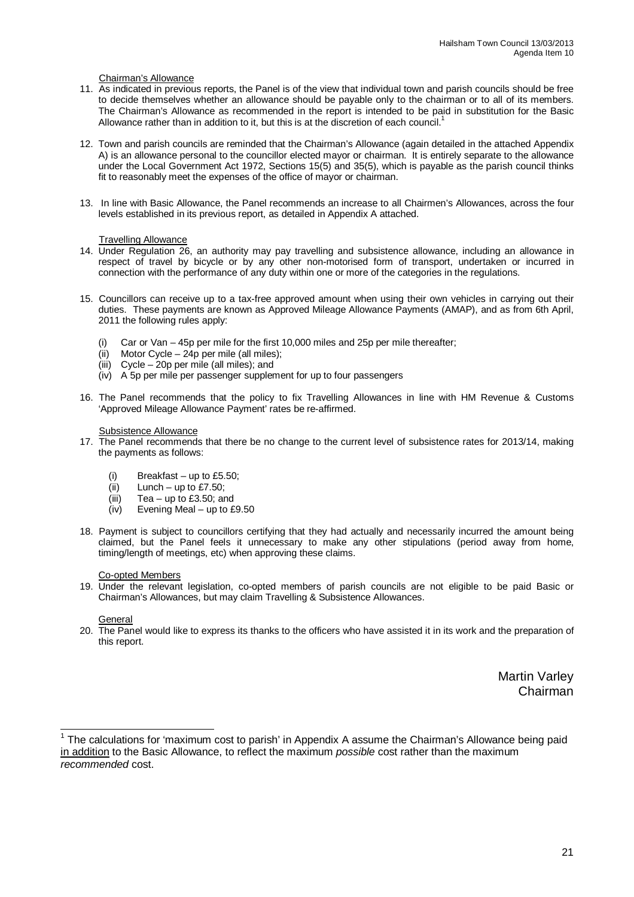#### Chairman's Allowance

- 11. As indicated in previous reports, the Panel is of the view that individual town and parish councils should be free to decide themselves whether an allowance should be payable only to the chairman or to all of its members. The Chairman's Allowance as recommended in the report is intended to be paid in substitution for the Basic Allowance rather than in addition to it, but this is at the discretion of each council.
- 12. Town and parish councils are reminded that the Chairman's Allowance (again detailed in the attached Appendix A) is an allowance personal to the councillor elected mayor or chairman. It is entirely separate to the allowance under the Local Government Act 1972, Sections 15(5) and 35(5), which is payable as the parish council thinks fit to reasonably meet the expenses of the office of mayor or chairman.
- 13. In line with Basic Allowance, the Panel recommends an increase to all Chairmen's Allowances, across the four levels established in its previous report, as detailed in Appendix A attached.

#### Travelling Allowance

- 14. Under Regulation 26, an authority may pay travelling and subsistence allowance, including an allowance in respect of travel by bicycle or by any other non-motorised form of transport, undertaken or incurred in connection with the performance of any duty within one or more of the categories in the regulations.
- 15. Councillors can receive up to a tax-free approved amount when using their own vehicles in carrying out their duties. These payments are known as Approved Mileage Allowance Payments (AMAP), and as from 6th April, 2011 the following rules apply:
	- (i) Car or Van 45p per mile for the first 10,000 miles and 25p per mile thereafter;
	- (ii) Motor Cycle 24p per mile (all miles);
	- (iii) Cycle 20p per mile (all miles); and
	- (iv) A 5p per mile per passenger supplement for up to four passengers
- 16. The Panel recommends that the policy to fix Travelling Allowances in line with HM Revenue & Customs 'Approved Mileage Allowance Payment' rates be re-affirmed.

#### Subsistence Allowance

- 17. The Panel recommends that there be no change to the current level of subsistence rates for 2013/14, making the payments as follows:
	- (i) Breakfast up to £5.50;<br>(ii) Lunch up to £7.50;
	- Lunch up to £7.50;
	- (iii) Tea up to £3.50; and
	- (iv) Evening Meal up to £9.50
- 18. Payment is subject to councillors certifying that they had actually and necessarily incurred the amount being claimed, but the Panel feels it unnecessary to make any other stipulations (period away from home, timing/length of meetings, etc) when approving these claims.

#### Co-opted Members

19. Under the relevant legislation, co-opted members of parish councils are not eligible to be paid Basic or Chairman's Allowances, but may claim Travelling & Subsistence Allowances.

#### General

20. The Panel would like to express its thanks to the officers who have assisted it in its work and the preparation of this report.

> Martin Varley Chairman

 1 The calculations for 'maximum cost to parish' in Appendix A assume the Chairman's Allowance being paid in addition to the Basic Allowance, to reflect the maximum *possible* cost rather than the maximum *recommended* cost.